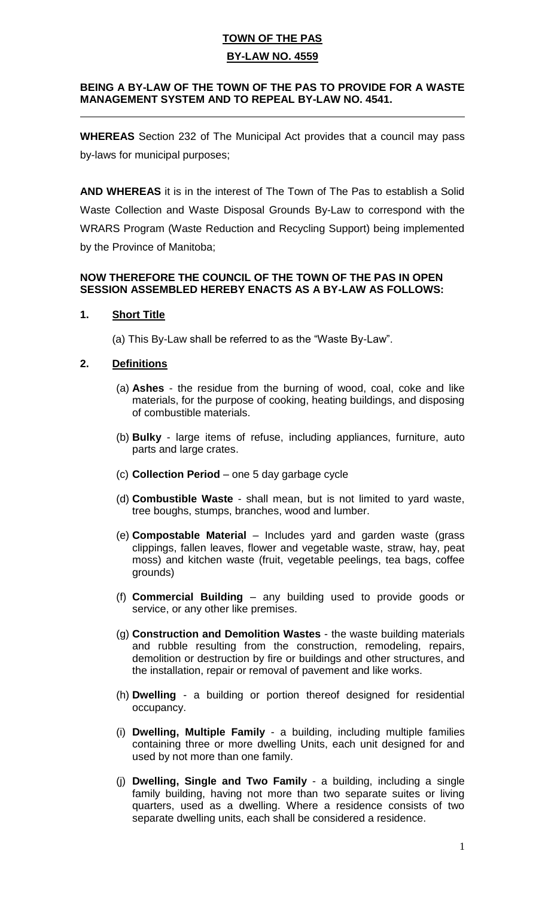#### **BEING A BY-LAW OF THE TOWN OF THE PAS TO PROVIDE FOR A WASTE MANAGEMENT SYSTEM AND TO REPEAL BY-LAW NO. 4541.**  $\overline{a}$

**WHEREAS** Section 232 of The Municipal Act provides that a council may pass by-laws for municipal purposes;

**AND WHEREAS** it is in the interest of The Town of The Pas to establish a Solid Waste Collection and Waste Disposal Grounds By-Law to correspond with the WRARS Program (Waste Reduction and Recycling Support) being implemented by the Province of Manitoba;

### **NOW THEREFORE THE COUNCIL OF THE TOWN OF THE PAS IN OPEN SESSION ASSEMBLED HEREBY ENACTS AS A BY-LAW AS FOLLOWS:**

### **1. Short Title**

(a) This By-Law shall be referred to as the "Waste By-Law".

### **2. Definitions**

- (a) **Ashes** the residue from the burning of wood, coal, coke and like materials, for the purpose of cooking, heating buildings, and disposing of combustible materials.
- (b) **Bulky** large items of refuse, including appliances, furniture, auto parts and large crates.
- (c) **Collection Period** one 5 day garbage cycle
- (d) **Combustible Waste** shall mean, but is not limited to yard waste, tree boughs, stumps, branches, wood and lumber.
- (e) **Compostable Material** Includes yard and garden waste (grass clippings, fallen leaves, flower and vegetable waste, straw, hay, peat moss) and kitchen waste (fruit, vegetable peelings, tea bags, coffee grounds)
- (f) **Commercial Building** any building used to provide goods or service, or any other like premises.
- (g) **Construction and Demolition Wastes** the waste building materials and rubble resulting from the construction, remodeling, repairs, demolition or destruction by fire or buildings and other structures, and the installation, repair or removal of pavement and like works.
- (h) **Dwelling** a building or portion thereof designed for residential occupancy.
- (i) **Dwelling, Multiple Family** a building, including multiple families containing three or more dwelling Units, each unit designed for and used by not more than one family.
- (j) **Dwelling, Single and Two Family** a building, including a single family building, having not more than two separate suites or living quarters, used as a dwelling. Where a residence consists of two separate dwelling units, each shall be considered a residence.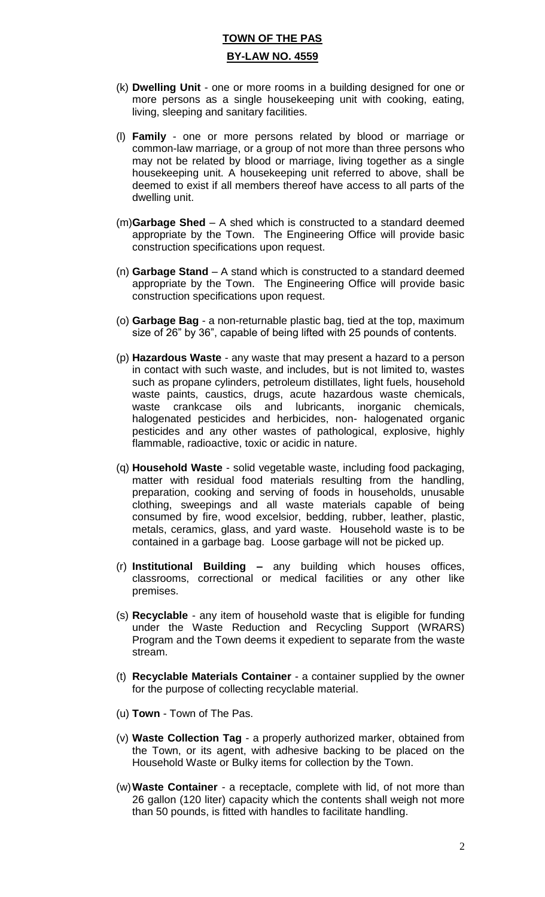- (k) **Dwelling Unit** one or more rooms in a building designed for one or more persons as a single housekeeping unit with cooking, eating, living, sleeping and sanitary facilities.
- (l) **Family** one or more persons related by blood or marriage or common-law marriage, or a group of not more than three persons who may not be related by blood or marriage, living together as a single housekeeping unit. A housekeeping unit referred to above, shall be deemed to exist if all members thereof have access to all parts of the dwelling unit.
- (m)**Garbage Shed** A shed which is constructed to a standard deemed appropriate by the Town. The Engineering Office will provide basic construction specifications upon request.
- (n) **Garbage Stand** A stand which is constructed to a standard deemed appropriate by the Town. The Engineering Office will provide basic construction specifications upon request.
- (o) **Garbage Bag**  a non-returnable plastic bag, tied at the top, maximum size of 26" by 36", capable of being lifted with 25 pounds of contents.
- (p) **Hazardous Waste** any waste that may present a hazard to a person in contact with such waste, and includes, but is not limited to, wastes such as propane cylinders, petroleum distillates, light fuels, household waste paints, caustics, drugs, acute hazardous waste chemicals, waste crankcase oils and lubricants, inorganic chemicals, halogenated pesticides and herbicides, non- halogenated organic pesticides and any other wastes of pathological, explosive, highly flammable, radioactive, toxic or acidic in nature.
- (q) **Household Waste** solid vegetable waste, including food packaging, matter with residual food materials resulting from the handling, preparation, cooking and serving of foods in households, unusable clothing, sweepings and all waste materials capable of being consumed by fire, wood excelsior, bedding, rubber, leather, plastic, metals, ceramics, glass, and yard waste. Household waste is to be contained in a garbage bag. Loose garbage will not be picked up.
- (r) **Institutional Building –** any building which houses offices, classrooms, correctional or medical facilities or any other like premises.
- (s) **Recyclable** any item of household waste that is eligible for funding under the Waste Reduction and Recycling Support (WRARS) Program and the Town deems it expedient to separate from the waste stream.
- (t) **Recyclable Materials Container** a container supplied by the owner for the purpose of collecting recyclable material.
- (u) **Town**  Town of The Pas.
- (v) **Waste Collection Tag** a properly authorized marker, obtained from the Town, or its agent, with adhesive backing to be placed on the Household Waste or Bulky items for collection by the Town.
- (w)**Waste Container** a receptacle, complete with lid, of not more than 26 gallon (120 liter) capacity which the contents shall weigh not more than 50 pounds, is fitted with handles to facilitate handling.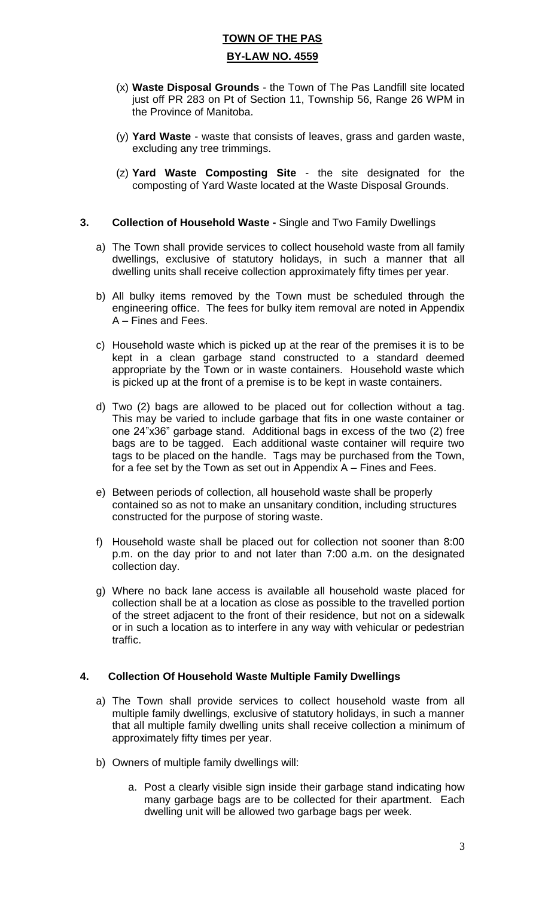- (x) **Waste Disposal Grounds** the Town of The Pas Landfill site located just off PR 283 on Pt of Section 11, Township 56, Range 26 WPM in the Province of Manitoba.
- (y) **Yard Waste** waste that consists of leaves, grass and garden waste, excluding any tree trimmings.
- (z) **Yard Waste Composting Site** the site designated for the composting of Yard Waste located at the Waste Disposal Grounds.

#### **3. Collection of Household Waste -** Single and Two Family Dwellings

- a) The Town shall provide services to collect household waste from all family dwellings, exclusive of statutory holidays, in such a manner that all dwelling units shall receive collection approximately fifty times per year.
- b) All bulky items removed by the Town must be scheduled through the engineering office. The fees for bulky item removal are noted in Appendix A – Fines and Fees.
- c) Household waste which is picked up at the rear of the premises it is to be kept in a clean garbage stand constructed to a standard deemed appropriate by the Town or in waste containers. Household waste which is picked up at the front of a premise is to be kept in waste containers.
- d) Two (2) bags are allowed to be placed out for collection without a tag. This may be varied to include garbage that fits in one waste container or one 24"x36" garbage stand. Additional bags in excess of the two (2) free bags are to be tagged. Each additional waste container will require two tags to be placed on the handle. Tags may be purchased from the Town, for a fee set by the Town as set out in Appendix A – Fines and Fees.
- e) Between periods of collection, all household waste shall be properly contained so as not to make an unsanitary condition, including structures constructed for the purpose of storing waste.
- f) Household waste shall be placed out for collection not sooner than 8:00 p.m. on the day prior to and not later than 7:00 a.m. on the designated collection day.
- g) Where no back lane access is available all household waste placed for collection shall be at a location as close as possible to the travelled portion of the street adjacent to the front of their residence, but not on a sidewalk or in such a location as to interfere in any way with vehicular or pedestrian traffic.

#### **4. Collection Of Household Waste Multiple Family Dwellings**

- a) The Town shall provide services to collect household waste from all multiple family dwellings, exclusive of statutory holidays, in such a manner that all multiple family dwelling units shall receive collection a minimum of approximately fifty times per year.
- b) Owners of multiple family dwellings will:
	- a. Post a clearly visible sign inside their garbage stand indicating how many garbage bags are to be collected for their apartment. Each dwelling unit will be allowed two garbage bags per week.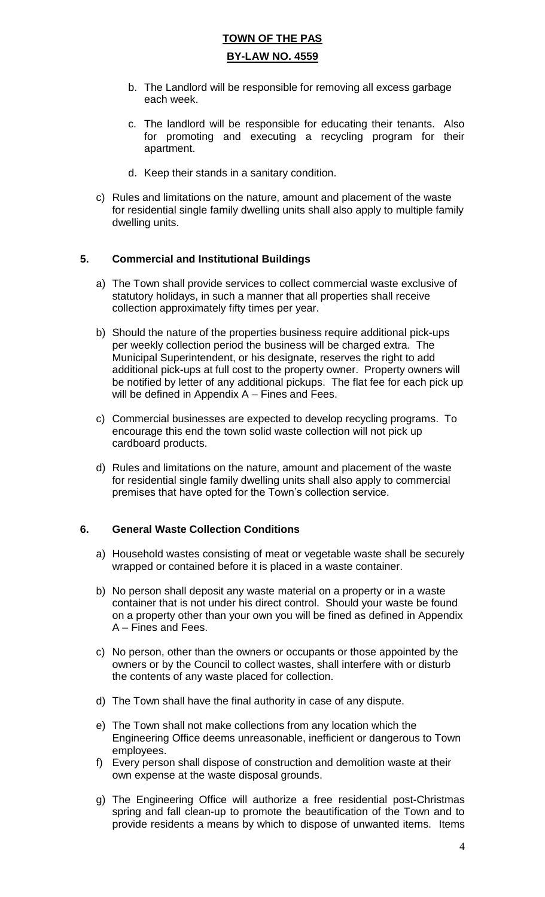- b. The Landlord will be responsible for removing all excess garbage each week.
- c. The landlord will be responsible for educating their tenants. Also for promoting and executing a recycling program for their apartment.
- d. Keep their stands in a sanitary condition.
- c) Rules and limitations on the nature, amount and placement of the waste for residential single family dwelling units shall also apply to multiple family dwelling units.

### **5. Commercial and Institutional Buildings**

- a) The Town shall provide services to collect commercial waste exclusive of statutory holidays, in such a manner that all properties shall receive collection approximately fifty times per year.
- b) Should the nature of the properties business require additional pick-ups per weekly collection period the business will be charged extra. The Municipal Superintendent, or his designate, reserves the right to add additional pick-ups at full cost to the property owner. Property owners will be notified by letter of any additional pickups. The flat fee for each pick up will be defined in Appendix A – Fines and Fees.
- c) Commercial businesses are expected to develop recycling programs. To encourage this end the town solid waste collection will not pick up cardboard products.
- d) Rules and limitations on the nature, amount and placement of the waste for residential single family dwelling units shall also apply to commercial premises that have opted for the Town's collection service.

#### **6. General Waste Collection Conditions**

- a) Household wastes consisting of meat or vegetable waste shall be securely wrapped or contained before it is placed in a waste container.
- b) No person shall deposit any waste material on a property or in a waste container that is not under his direct control. Should your waste be found on a property other than your own you will be fined as defined in Appendix A – Fines and Fees.
- c) No person, other than the owners or occupants or those appointed by the owners or by the Council to collect wastes, shall interfere with or disturb the contents of any waste placed for collection.
- d) The Town shall have the final authority in case of any dispute.
- e) The Town shall not make collections from any location which the Engineering Office deems unreasonable, inefficient or dangerous to Town employees.
- f) Every person shall dispose of construction and demolition waste at their own expense at the waste disposal grounds.
- g) The Engineering Office will authorize a free residential post-Christmas spring and fall clean-up to promote the beautification of the Town and to provide residents a means by which to dispose of unwanted items. Items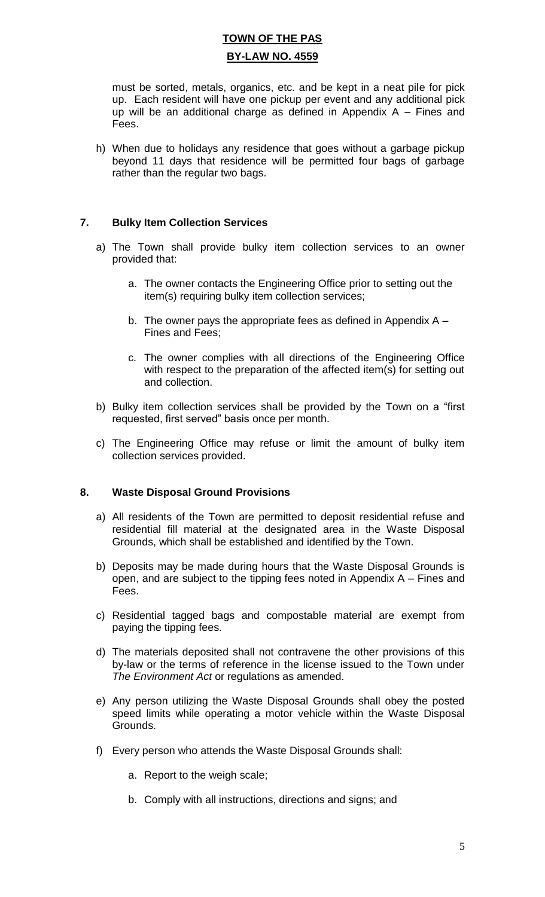must be sorted, metals, organics, etc. and be kept in a neat pile for pick up. Each resident will have one pickup per event and any additional pick up will be an additional charge as defined in Appendix  $A -$  Fines and Fees.

h) When due to holidays any residence that goes without a garbage pickup beyond 11 days that residence will be permitted four bags of garbage rather than the regular two bags.

### **7. Bulky Item Collection Services**

- a) The Town shall provide bulky item collection services to an owner provided that:
	- a. The owner contacts the Engineering Office prior to setting out the item(s) requiring bulky item collection services;
	- b. The owner pays the appropriate fees as defined in Appendix  $A -$ Fines and Fees;
	- c. The owner complies with all directions of the Engineering Office with respect to the preparation of the affected item(s) for setting out and collection.
- b) Bulky item collection services shall be provided by the Town on a "first requested, first served" basis once per month.
- c) The Engineering Office may refuse or limit the amount of bulky item collection services provided.

#### **8. Waste Disposal Ground Provisions**

- a) All residents of the Town are permitted to deposit residential refuse and residential fill material at the designated area in the Waste Disposal Grounds, which shall be established and identified by the Town.
- b) Deposits may be made during hours that the Waste Disposal Grounds is open, and are subject to the tipping fees noted in Appendix A – Fines and Fees.
- c) Residential tagged bags and compostable material are exempt from paying the tipping fees.
- d) The materials deposited shall not contravene the other provisions of this by-law or the terms of reference in the license issued to the Town under *The Environment Act* or regulations as amended.
- e) Any person utilizing the Waste Disposal Grounds shall obey the posted speed limits while operating a motor vehicle within the Waste Disposal Grounds.
- f) Every person who attends the Waste Disposal Grounds shall:
	- a. Report to the weigh scale;
	- b. Comply with all instructions, directions and signs; and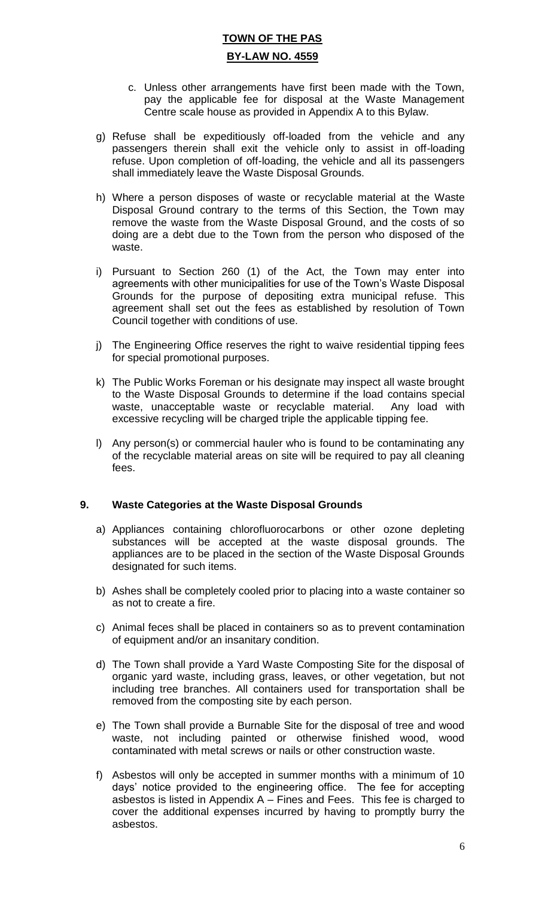- c. Unless other arrangements have first been made with the Town, pay the applicable fee for disposal at the Waste Management Centre scale house as provided in Appendix A to this Bylaw.
- g) Refuse shall be expeditiously off-loaded from the vehicle and any passengers therein shall exit the vehicle only to assist in off-loading refuse. Upon completion of off-loading, the vehicle and all its passengers shall immediately leave the Waste Disposal Grounds.
- h) Where a person disposes of waste or recyclable material at the Waste Disposal Ground contrary to the terms of this Section, the Town may remove the waste from the Waste Disposal Ground, and the costs of so doing are a debt due to the Town from the person who disposed of the waste.
- i) Pursuant to Section 260 (1) of the Act, the Town may enter into agreements with other municipalities for use of the Town's Waste Disposal Grounds for the purpose of depositing extra municipal refuse. This agreement shall set out the fees as established by resolution of Town Council together with conditions of use.
- j) The Engineering Office reserves the right to waive residential tipping fees for special promotional purposes.
- k) The Public Works Foreman or his designate may inspect all waste brought to the Waste Disposal Grounds to determine if the load contains special waste, unacceptable waste or recyclable material. Any load with excessive recycling will be charged triple the applicable tipping fee.
- l) Any person(s) or commercial hauler who is found to be contaminating any of the recyclable material areas on site will be required to pay all cleaning fees.

#### **9. Waste Categories at the Waste Disposal Grounds**

- a) Appliances containing chlorofluorocarbons or other ozone depleting substances will be accepted at the waste disposal grounds. The appliances are to be placed in the section of the Waste Disposal Grounds designated for such items.
- b) Ashes shall be completely cooled prior to placing into a waste container so as not to create a fire.
- c) Animal feces shall be placed in containers so as to prevent contamination of equipment and/or an insanitary condition.
- d) The Town shall provide a Yard Waste Composting Site for the disposal of organic yard waste, including grass, leaves, or other vegetation, but not including tree branches. All containers used for transportation shall be removed from the composting site by each person.
- e) The Town shall provide a Burnable Site for the disposal of tree and wood waste, not including painted or otherwise finished wood, wood contaminated with metal screws or nails or other construction waste.
- f) Asbestos will only be accepted in summer months with a minimum of 10 days' notice provided to the engineering office. The fee for accepting asbestos is listed in Appendix A – Fines and Fees. This fee is charged to cover the additional expenses incurred by having to promptly burry the asbestos.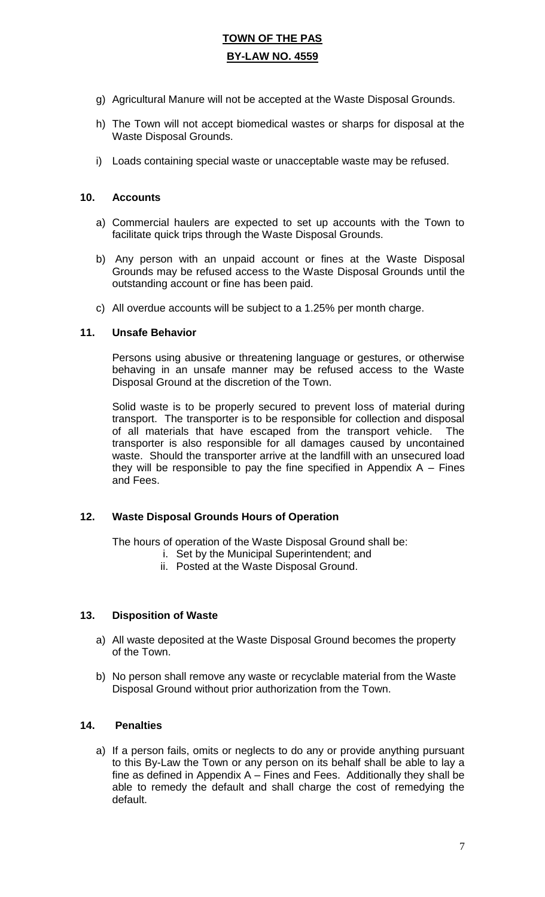- g) Agricultural Manure will not be accepted at the Waste Disposal Grounds.
- h) The Town will not accept biomedical wastes or sharps for disposal at the Waste Disposal Grounds.
- i) Loads containing special waste or unacceptable waste may be refused.

#### **10. Accounts**

- a) Commercial haulers are expected to set up accounts with the Town to facilitate quick trips through the Waste Disposal Grounds.
- b) Any person with an unpaid account or fines at the Waste Disposal Grounds may be refused access to the Waste Disposal Grounds until the outstanding account or fine has been paid.
- c) All overdue accounts will be subject to a 1.25% per month charge.

#### **11. Unsafe Behavior**

Persons using abusive or threatening language or gestures, or otherwise behaving in an unsafe manner may be refused access to the Waste Disposal Ground at the discretion of the Town.

Solid waste is to be properly secured to prevent loss of material during transport. The transporter is to be responsible for collection and disposal of all materials that have escaped from the transport vehicle. The transporter is also responsible for all damages caused by uncontained waste. Should the transporter arrive at the landfill with an unsecured load they will be responsible to pay the fine specified in Appendix  $A - Fines$ and Fees.

#### **12. Waste Disposal Grounds Hours of Operation**

The hours of operation of the Waste Disposal Ground shall be:

- i. Set by the Municipal Superintendent; and
- ii. Posted at the Waste Disposal Ground.

#### **13. Disposition of Waste**

- a) All waste deposited at the Waste Disposal Ground becomes the property of the Town.
- b) No person shall remove any waste or recyclable material from the Waste Disposal Ground without prior authorization from the Town.

#### **14. Penalties**

a) If a person fails, omits or neglects to do any or provide anything pursuant to this By-Law the Town or any person on its behalf shall be able to lay a fine as defined in Appendix A – Fines and Fees. Additionally they shall be able to remedy the default and shall charge the cost of remedying the default.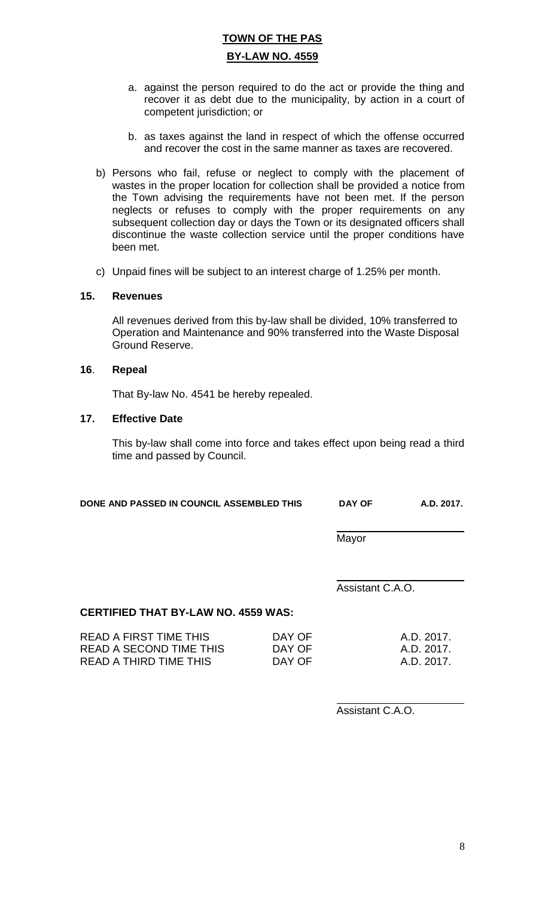- a. against the person required to do the act or provide the thing and recover it as debt due to the municipality, by action in a court of competent jurisdiction; or
- b. as taxes against the land in respect of which the offense occurred and recover the cost in the same manner as taxes are recovered.
- b) Persons who fail, refuse or neglect to comply with the placement of wastes in the proper location for collection shall be provided a notice from the Town advising the requirements have not been met. If the person neglects or refuses to comply with the proper requirements on any subsequent collection day or days the Town or its designated officers shall discontinue the waste collection service until the proper conditions have been met.
- c) Unpaid fines will be subject to an interest charge of 1.25% per month.

#### **15. Revenues**

All revenues derived from this by-law shall be divided, 10% transferred to Operation and Maintenance and 90% transferred into the Waste Disposal Ground Reserve.

#### **16**. **Repeal**

That By-law No. 4541 be hereby repealed.

#### **17. Effective Date**

This by-law shall come into force and takes effect upon being read a third time and passed by Council.

| DONE AND PASSED IN COUNCIL ASSEMBLED THIS | <b>DAY OF</b> | A.D. 2017. |
|-------------------------------------------|---------------|------------|
|                                           |               |            |

 $\overline{a}$ Mayor

 $\overline{a}$ Assistant C.A.O.

#### **CERTIFIED THAT BY-LAW NO. 4559 WAS:**

| READ A FIRST TIME THIS  | DAY OF | A.D. 2017. |
|-------------------------|--------|------------|
| READ A SECOND TIME THIS | DAY OF | A.D. 2017. |
| READ A THIRD TIME THIS  | DAY OF | A.D. 2017. |

 $\overline{a}$ Assistant C.A.O.